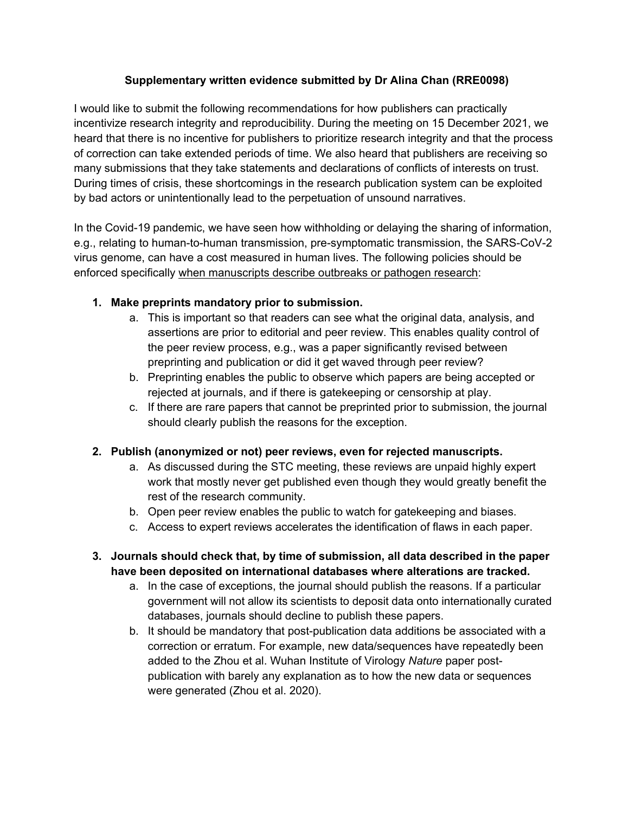### **Supplementary written evidence submitted by Dr Alina Chan (RRE0098)**

I would like to submit the following recommendations for how publishers can practically incentivize research integrity and reproducibility. During the meeting on 15 December 2021, we heard that there is no incentive for publishers to prioritize research integrity and that the process of correction can take extended periods of time. We also heard that publishers are receiving so many submissions that they take statements and declarations of conflicts of interests on trust. During times of crisis, these shortcomings in the research publication system can be exploited by bad actors or unintentionally lead to the perpetuation of unsound narratives.

In the Covid-19 pandemic, we have seen how withholding or delaying the sharing of information, e.g., relating to human-to-human transmission, pre-symptomatic transmission, the SARS-CoV-2 virus genome, can have a cost measured in human lives. The following policies should be enforced specifically when manuscripts describe outbreaks or pathogen research:

# **1. Make preprints mandatory prior to submission.**

- a. This is important so that readers can see what the original data, analysis, and assertions are prior to editorial and peer review. This enables quality control of the peer review process, e.g., was a paper significantly revised between preprinting and publication or did it get waved through peer review?
- b. Preprinting enables the public to observe which papers are being accepted or rejected at journals, and if there is gatekeeping or censorship at play.
- c. If there are rare papers that cannot be preprinted prior to submission, the journal should clearly publish the reasons for the exception.

# **2. Publish (anonymized or not) peer reviews, even for rejected manuscripts.**

- a. As discussed during the STC meeting, these reviews are unpaid highly expert work that mostly never get published even though they would greatly benefit the rest of the research community.
- b. Open peer review enables the public to watch for gatekeeping and biases.
- c. Access to expert reviews accelerates the identification of flaws in each paper.

### **3. Journals should check that, by time of submission, all data described in the paper have been deposited on international databases where alterations are tracked.**

- a. In the case of exceptions, the journal should publish the reasons. If a particular government will not allow its scientists to deposit data onto internationally curated databases, journals should decline to publish these papers.
- b. It should be mandatory that post-publication data additions be associated with a correction or erratum. For example, new data/sequences have repeatedly been added to the Zhou et al. Wuhan Institute of Virology *Nature* paper postpublication with barely any explanation as to how the new data or sequences were generated (Zhou et al. 2020).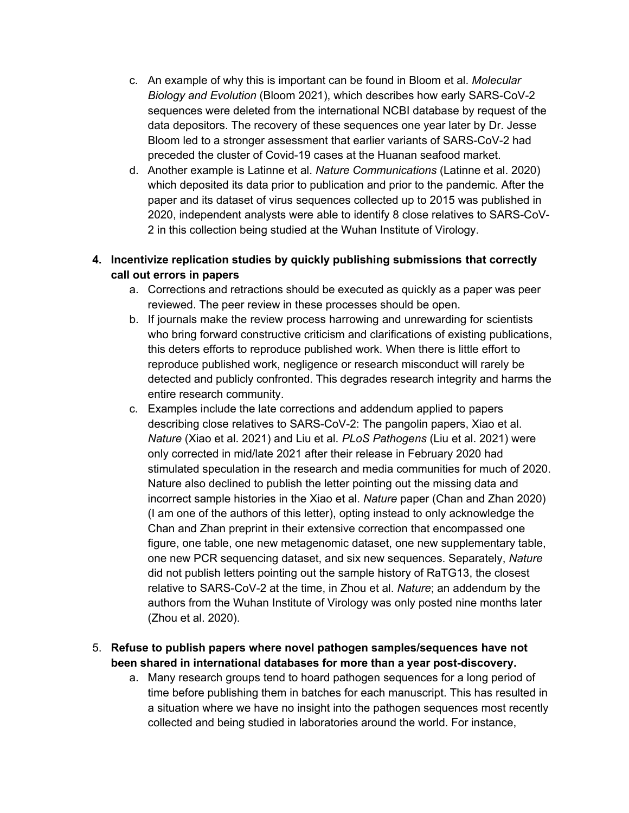- c. An example of why this is important can be found in Bloom et al. *Molecular Biology and Evolution* (Bloom 2021), which describes how early SARS-CoV-2 sequences were deleted from the international NCBI database by request of the data depositors. The recovery of these sequences one year later by Dr. Jesse Bloom led to a stronger assessment that earlier variants of SARS-CoV-2 had preceded the cluster of Covid-19 cases at the Huanan seafood market.
- d. Another example is Latinne et al. *Nature Communications* (Latinne et al. 2020) which deposited its data prior to publication and prior to the pandemic. After the paper and its dataset of virus sequences collected up to 2015 was published in 2020, independent analysts were able to identify 8 close relatives to SARS-CoV-2 in this collection being studied at the Wuhan Institute of Virology.

# **4. Incentivize replication studies by quickly publishing submissions that correctly call out errors in papers**

- a. Corrections and retractions should be executed as quickly as a paper was peer reviewed. The peer review in these processes should be open.
- b. If journals make the review process harrowing and unrewarding for scientists who bring forward constructive criticism and clarifications of existing publications, this deters efforts to reproduce published work. When there is little effort to reproduce published work, negligence or research misconduct will rarely be detected and publicly confronted. This degrades research integrity and harms the entire research community.
- c. Examples include the late corrections and addendum applied to papers describing close relatives to SARS-CoV-2: The pangolin papers, Xiao et al. *Nature* (Xiao et al. 2021) and Liu et al. *PLoS Pathogens* (Liu et al. 2021) were only corrected in mid/late 2021 after their release in February 2020 had stimulated speculation in the research and media communities for much of 2020. Nature also declined to publish the letter pointing out the missing data and incorrect sample histories in the Xiao et al. *Nature* paper (Chan and Zhan 2020) (I am one of the authors of this letter), opting instead to only acknowledge the Chan and Zhan preprint in their extensive correction that encompassed one figure, one table, one new metagenomic dataset, one new supplementary table, one new PCR sequencing dataset, and six new sequences. Separately, *Nature* did not publish letters pointing out the sample history of RaTG13, the closest relative to SARS-CoV-2 at the time, in Zhou et al. *Nature*; an addendum by the authors from the Wuhan Institute of Virology was only posted nine months later (Zhou et al. 2020).

# 5. **Refuse to publish papers where novel pathogen samples/sequences have not been shared in international databases for more than a year post-discovery.**

a. Many research groups tend to hoard pathogen sequences for a long period of time before publishing them in batches for each manuscript. This has resulted in a situation where we have no insight into the pathogen sequences most recently collected and being studied in laboratories around the world. For instance,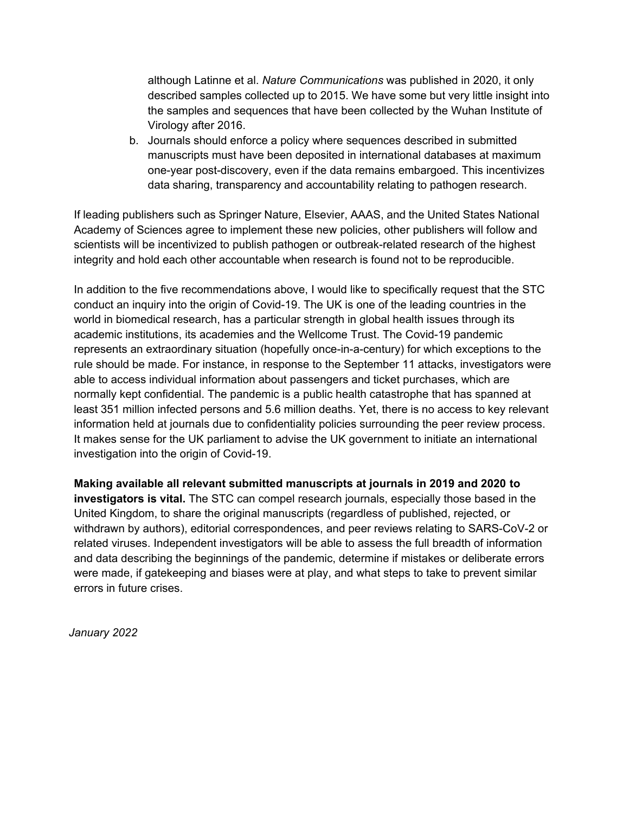although Latinne et al. *Nature Communications* was published in 2020, it only described samples collected up to 2015. We have some but very little insight into the samples and sequences that have been collected by the Wuhan Institute of Virology after 2016.

b. Journals should enforce a policy where sequences described in submitted manuscripts must have been deposited in international databases at maximum one-year post-discovery, even if the data remains embargoed. This incentivizes data sharing, transparency and accountability relating to pathogen research.

If leading publishers such as Springer Nature, Elsevier, AAAS, and the United States National Academy of Sciences agree to implement these new policies, other publishers will follow and scientists will be incentivized to publish pathogen or outbreak-related research of the highest integrity and hold each other accountable when research is found not to be reproducible.

In addition to the five recommendations above, I would like to specifically request that the STC conduct an inquiry into the origin of Covid-19. The UK is one of the leading countries in the world in biomedical research, has a particular strength in global health issues through its academic institutions, its academies and the Wellcome Trust. The Covid-19 pandemic represents an extraordinary situation (hopefully once-in-a-century) for which exceptions to the rule should be made. For instance, in response to the September 11 attacks, investigators were able to access individual information about passengers and ticket purchases, which are normally kept confidential. The pandemic is a public health catastrophe that has spanned at least 351 million infected persons and 5.6 million deaths. Yet, there is no access to key relevant information held at journals due to confidentiality policies surrounding the peer review process. It makes sense for the UK parliament to advise the UK government to initiate an international investigation into the origin of Covid-19.

**Making available all relevant submitted manuscripts at journals in 2019 and 2020 to investigators is vital.** The STC can compel research journals, especially those based in the United Kingdom, to share the original manuscripts (regardless of published, rejected, or withdrawn by authors), editorial correspondences, and peer reviews relating to SARS-CoV-2 or related viruses. Independent investigators will be able to assess the full breadth of information and data describing the beginnings of the pandemic, determine if mistakes or deliberate errors were made, if gatekeeping and biases were at play, and what steps to take to prevent similar errors in future crises.

*January 2022*